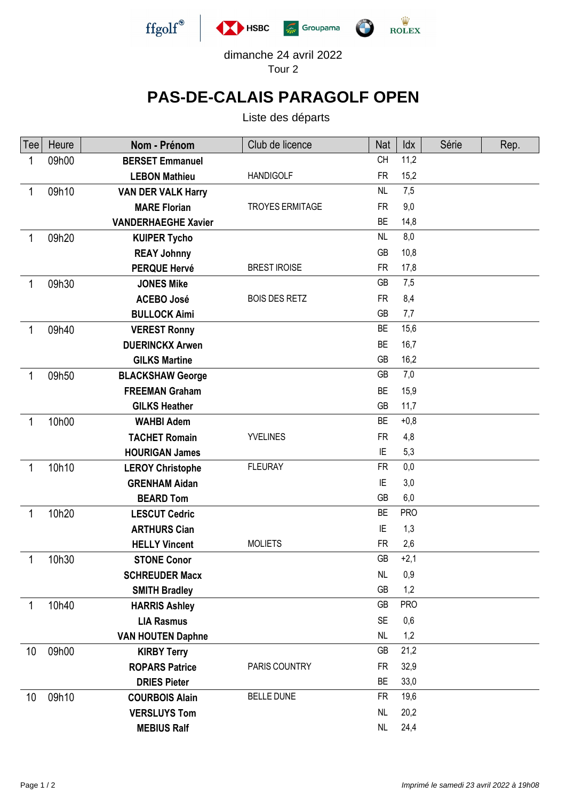

dimanche 24 avril 2022 Tour 2

## **PAS-DE-CALAIS PARAGOLF OPEN**

Liste des départs

| Tee          | Heure | Nom - Prénom               | Club de licence        | Nat       | Idx        | Série | Rep. |
|--------------|-------|----------------------------|------------------------|-----------|------------|-------|------|
| 1            | 09h00 | <b>BERSET Emmanuel</b>     |                        | <b>CH</b> | 11,2       |       |      |
|              |       | <b>LEBON Mathieu</b>       | <b>HANDIGOLF</b>       | <b>FR</b> | 15,2       |       |      |
| 1            | 09h10 | <b>VAN DER VALK Harry</b>  |                        | NL        | 7,5        |       |      |
|              |       | <b>MARE Florian</b>        | <b>TROYES ERMITAGE</b> | <b>FR</b> | 9,0        |       |      |
|              |       | <b>VANDERHAEGHE Xavier</b> |                        | <b>BE</b> | 14,8       |       |      |
| 1            | 09h20 | <b>KUIPER Tycho</b>        |                        | NL        | 8,0        |       |      |
|              |       | <b>REAY Johnny</b>         |                        | GB        | 10,8       |       |      |
|              |       | <b>PERQUE Hervé</b>        | <b>BREST IROISE</b>    | <b>FR</b> | 17,8       |       |      |
| 1            | 09h30 | <b>JONES Mike</b>          |                        | <b>GB</b> | 7,5        |       |      |
|              |       | <b>ACEBO José</b>          | <b>BOIS DES RETZ</b>   | <b>FR</b> | 8,4        |       |      |
|              |       | <b>BULLOCK Aimi</b>        |                        | GB        | 7,7        |       |      |
| 1            | 09h40 | <b>VEREST Ronny</b>        |                        | <b>BE</b> | 15,6       |       |      |
|              |       | <b>DUERINCKX Arwen</b>     |                        | <b>BE</b> | 16,7       |       |      |
|              |       | <b>GILKS Martine</b>       |                        | GB        | 16,2       |       |      |
| 1            | 09h50 | <b>BLACKSHAW George</b>    |                        | GB        | 7,0        |       |      |
|              |       | <b>FREEMAN Graham</b>      |                        | <b>BE</b> | 15,9       |       |      |
|              |       | <b>GILKS Heather</b>       |                        | GB        | 11,7       |       |      |
| $\mathbf{1}$ | 10h00 | <b>WAHBI Adem</b>          |                        | BE        | $+0,8$     |       |      |
|              |       | <b>TACHET Romain</b>       | <b>YVELINES</b>        | <b>FR</b> | 4,8        |       |      |
|              |       | <b>HOURIGAN James</b>      |                        | ΙE        | 5,3        |       |      |
| 1            | 10h10 | <b>LEROY Christophe</b>    | <b>FLEURAY</b>         | <b>FR</b> | 0,0        |       |      |
|              |       | <b>GRENHAM Aidan</b>       |                        | ΙE        | 3,0        |       |      |
|              |       | <b>BEARD Tom</b>           |                        | GB        | 6,0        |       |      |
| $\mathbf{1}$ | 10h20 | <b>LESCUT Cedric</b>       |                        | <b>BE</b> | <b>PRO</b> |       |      |
|              |       | <b>ARTHURS Cian</b>        |                        | ΙE        | 1,3        |       |      |
|              |       | <b>HELLY Vincent</b>       | <b>MOLIETS</b>         | <b>FR</b> | 2,6        |       |      |
|              | 10h30 | <b>STONE Conor</b>         |                        | <b>GB</b> | $+2,1$     |       |      |
|              |       | <b>SCHREUDER Macx</b>      |                        | NL        | 0,9        |       |      |
|              |       | <b>SMITH Bradley</b>       |                        | GB        | 1,2        |       |      |
| 1            | 10h40 | <b>HARRIS Ashley</b>       |                        | GB        | <b>PRO</b> |       |      |
|              |       | <b>LIA Rasmus</b>          |                        | <b>SE</b> | 0,6        |       |      |
|              |       | <b>VAN HOUTEN Daphne</b>   |                        | <b>NL</b> | 1,2        |       |      |
| 10           | 09h00 | <b>KIRBY Terry</b>         |                        | GB        | 21,2       |       |      |
|              |       | <b>ROPARS Patrice</b>      | PARIS COUNTRY          | <b>FR</b> | 32,9       |       |      |
|              |       | <b>DRIES Pieter</b>        |                        | <b>BE</b> | 33,0       |       |      |
| 10           | 09h10 | <b>COURBOIS Alain</b>      | <b>BELLE DUNE</b>      | <b>FR</b> | 19,6       |       |      |
|              |       | <b>VERSLUYS Tom</b>        |                        | <b>NL</b> | 20,2       |       |      |
|              |       | <b>MEBIUS Ralf</b>         |                        | NL        | 24,4       |       |      |